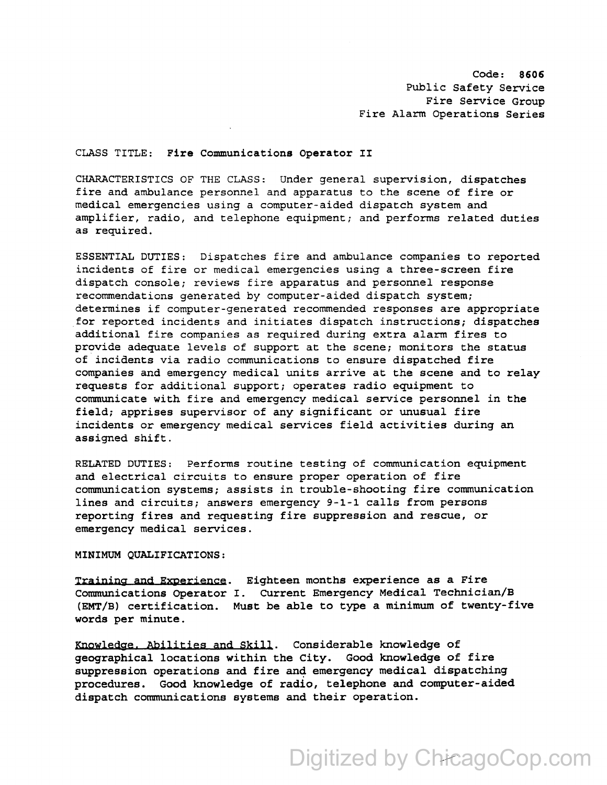Code: 8606 Public Safety Service Fire Service Group Fire Alarm Operations Series

## CLASS TITLE: Fire Communications Operator II

CHARACTERISTICS OF THE CLASS: Under general supervision, dispatches fire and ambulance personnel and apparatus to the scene of fire or medical emergencies using a computer-aided dispatch system and amplifier, radio, and telephone equipment; and performs related duties as required.

ESSENTIAL DUTIES: Dispatches fire and ambulance companies to reported incidents of fire or medical emergencies using a three-screen fire dispatch console; reviews fire apparatus and personnel response recommendations generated by computer-aided dispatch system; determines if computer-generated recommended responses are appropriate for reported incidents and initiates dispatch instructions; dispatches additional fire companies as required during extra alarm fires to provide adequate levels of support at the scene; monitors the status of incidents via radio communications to ensure dispatched fire companies and emergency medical units arrive at the scene and to relay requests for additional support; operates radio equipment to communicate with fire and emergency medical service personnel in the field; apprises supervisor of any significant or unusual fire incidents or emergency medical services field activities during an assigned shift.

RELATED DUTIES: Performs routine testing of communication equipment and electrical circuits to ensure proper operation of fire communication systems; assists in trouble-shooting fire communication lines and circuits; answers emergency 9-1-1 calls from persons reporting fires and requesting fire suppression and rescue, or emergency medical services.

## MINIMUM QUALIFICATIONS:

Training and Experience. Eighteen months experience as a Fire Communications Operator I. current Emergency Medical Technician/B (EMT/B) certification. Must be able to type a minimum of twenty-five words per minute.

Knowledge. Abilities and Skill. Considerable knowledge of geographical locations within the City. Good knowledge of fire suppression operations and fire and emergency medical dispatching procedures. Good knowledge of radio, telephone and computer-aided dispatch communications systems and their operation.